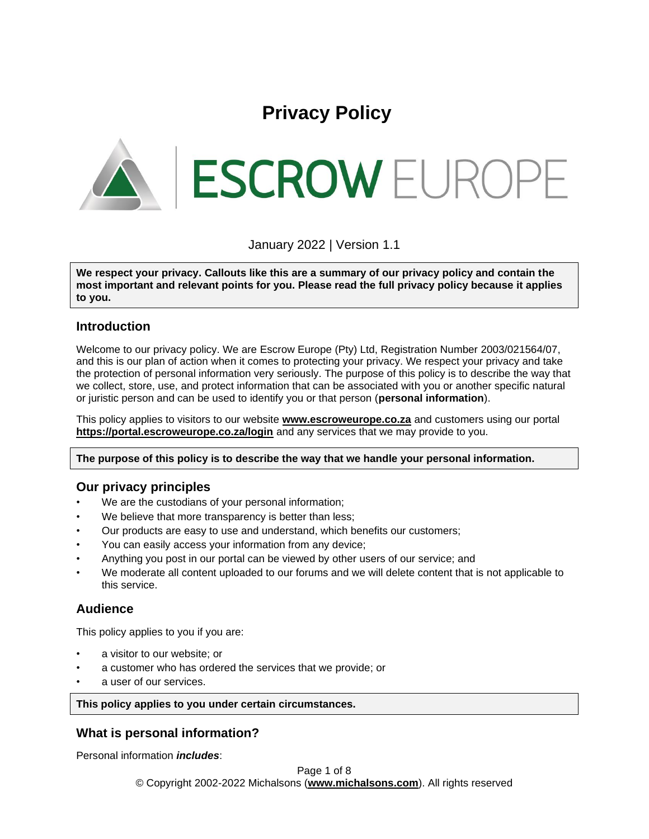# **Privacy Policy**

**ESCROW EUROPE** 

January 2022 | Version 1.1

**We respect your privacy. Callouts like this are a summary of our privacy policy and contain the most important and relevant points for you. Please read the full privacy policy because it applies to you.**

# **Introduction**

Welcome to our privacy policy. We are Escrow Europe (Pty) Ltd, Registration Number 2003/021564/07, and this is our plan of action when it comes to protecting your privacy. We respect your privacy and take the protection of personal information very seriously. The purpose of this policy is to describe the way that we collect, store, use, and protect information that can be associated with you or another specific natural or juristic person and can be used to identify you or that person (**personal information**).

This policy applies to visitors to our website **[www.escroweurope.co.za](http://www.escroweurope.co.za/)** and customers using our portal **<https://portal.escroweurope.co.za/login>** and any services that we may provide to you.

**The purpose of this policy is to describe the way that we handle your personal information.**

# **Our privacy principles**

- We are the custodians of your personal information;
- We believe that more transparency is better than less;
- Our products are easy to use and understand, which benefits our customers;
- You can easily access your information from any device;
- Anything you post in our portal can be viewed by other users of our service; and
- We moderate all content uploaded to our forums and we will delete content that is not applicable to this service.

# **Audience**

This policy applies to you if you are:

- a visitor to our website; or
- a customer who has ordered the services that we provide; or
- a user of our services.

**This policy applies to you under certain circumstances.**

# **What is personal information?**

Personal information *includes*: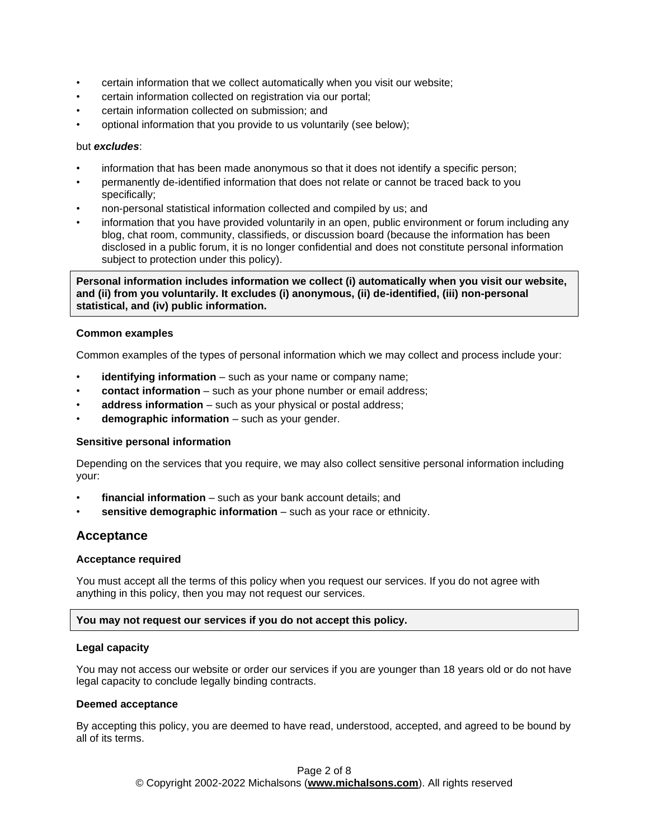- certain information that we collect automatically when you visit our website;
- certain information collected on registration via our portal;
- certain information collected on submission; and
- optional information that you provide to us voluntarily (see below);

## but *excludes*:

- information that has been made anonymous so that it does not identify a specific person;
- permanently de-identified information that does not relate or cannot be traced back to you specifically;
- non-personal statistical information collected and compiled by us; and
- information that you have provided voluntarily in an open, public environment or forum including any blog, chat room, community, classifieds, or discussion board (because the information has been disclosed in a public forum, it is no longer confidential and does not constitute personal information subject to protection under this policy).

**Personal information includes information we collect (i) automatically when you visit our website, and (ii) from you voluntarily. It excludes (i) anonymous, (ii) de-identified, (iii) non-personal statistical, and (iv) public information.**

## **Common examples**

Common examples of the types of personal information which we may collect and process include your:

- **identifying information** such as your name or company name;
- **contact information** such as your phone number or email address;
- **address information** such as your physical or postal address;
- **demographic information** such as your gender.

## **Sensitive personal information**

Depending on the services that you require, we may also collect sensitive personal information including your:

- **financial information** such as your bank account details; and
- sensitive demographic information such as your race or ethnicity.

## **Acceptance**

## **Acceptance required**

You must accept all the terms of this policy when you request our services. If you do not agree with anything in this policy, then you may not request our services.

## **You may not request our services if you do not accept this policy.**

#### **Legal capacity**

You may not access our website or order our services if you are younger than 18 years old or do not have legal capacity to conclude legally binding contracts.

## **Deemed acceptance**

By accepting this policy, you are deemed to have read, understood, accepted, and agreed to be bound by all of its terms.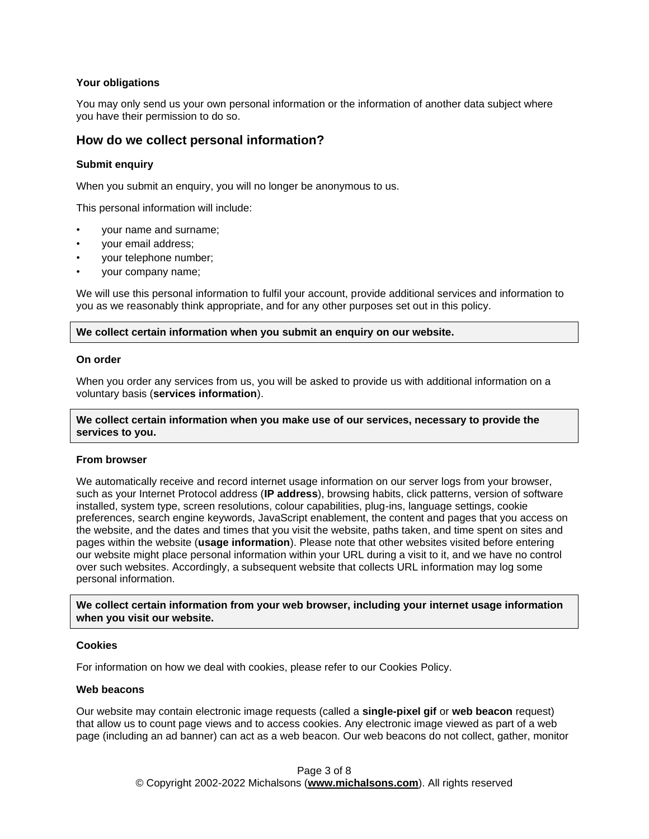## **Your obligations**

You may only send us your own personal information or the information of another data subject where you have their permission to do so.

## **How do we collect personal information?**

## **Submit enquiry**

When you submit an enquiry, you will no longer be anonymous to us.

This personal information will include:

- your name and surname;
- your email address;
- your telephone number;
- your company name;

We will use this personal information to fulfil your account, provide additional services and information to you as we reasonably think appropriate, and for any other purposes set out in this policy.

## **We collect certain information when you submit an enquiry on our website.**

#### **On order**

When you order any services from us, you will be asked to provide us with additional information on a voluntary basis (**services information**).

## **We collect certain information when you make use of our services, necessary to provide the services to you.**

## **From browser**

We automatically receive and record internet usage information on our server logs from your browser, such as your Internet Protocol address (**IP address**), browsing habits, click patterns, version of software installed, system type, screen resolutions, colour capabilities, plug-ins, language settings, cookie preferences, search engine keywords, JavaScript enablement, the content and pages that you access on the website, and the dates and times that you visit the website, paths taken, and time spent on sites and pages within the website (**usage information**). Please note that other websites visited before entering our website might place personal information within your URL during a visit to it, and we have no control over such websites. Accordingly, a subsequent website that collects URL information may log some personal information.

**We collect certain information from your web browser, including your internet usage information when you visit our website.**

## **Cookies**

For information on how we deal with cookies, please refer to our Cookies Policy.

## **Web beacons**

Our website may contain electronic image requests (called a **single-pixel gif** or **web beacon** request) that allow us to count page views and to access cookies. Any electronic image viewed as part of a web page (including an ad banner) can act as a web beacon. Our web beacons do not collect, gather, monitor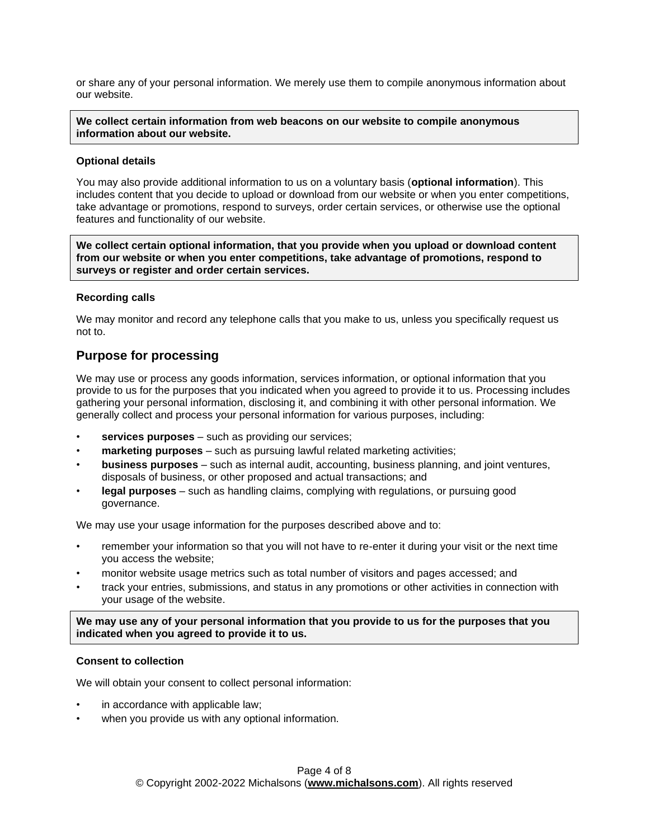or share any of your personal information. We merely use them to compile anonymous information about our website.

**We collect certain information from web beacons on our website to compile anonymous information about our website.**

## **Optional details**

You may also provide additional information to us on a voluntary basis (**optional information**). This includes content that you decide to upload or download from our website or when you enter competitions, take advantage or promotions, respond to surveys, order certain services, or otherwise use the optional features and functionality of our website.

**We collect certain optional information, that you provide when you upload or download content from our website or when you enter competitions, take advantage of promotions, respond to surveys or register and order certain services.**

## **Recording calls**

We may monitor and record any telephone calls that you make to us, unless you specifically request us not to.

# **Purpose for processing**

We may use or process any goods information, services information, or optional information that you provide to us for the purposes that you indicated when you agreed to provide it to us. Processing includes gathering your personal information, disclosing it, and combining it with other personal information. We generally collect and process your personal information for various purposes, including:

- services purposes such as providing our services;
- **marketing purposes** such as pursuing lawful related marketing activities;
- **business purposes** such as internal audit, accounting, business planning, and joint ventures, disposals of business, or other proposed and actual transactions; and
- **legal purposes** such as handling claims, complying with regulations, or pursuing good governance.

We may use your usage information for the purposes described above and to:

- remember your information so that you will not have to re-enter it during your visit or the next time you access the website;
- monitor website usage metrics such as total number of visitors and pages accessed; and
- track your entries, submissions, and status in any promotions or other activities in connection with your usage of the website.

**We may use any of your personal information that you provide to us for the purposes that you indicated when you agreed to provide it to us.**

## **Consent to collection**

We will obtain your consent to collect personal information:

- in accordance with applicable law;
- when you provide us with any optional information.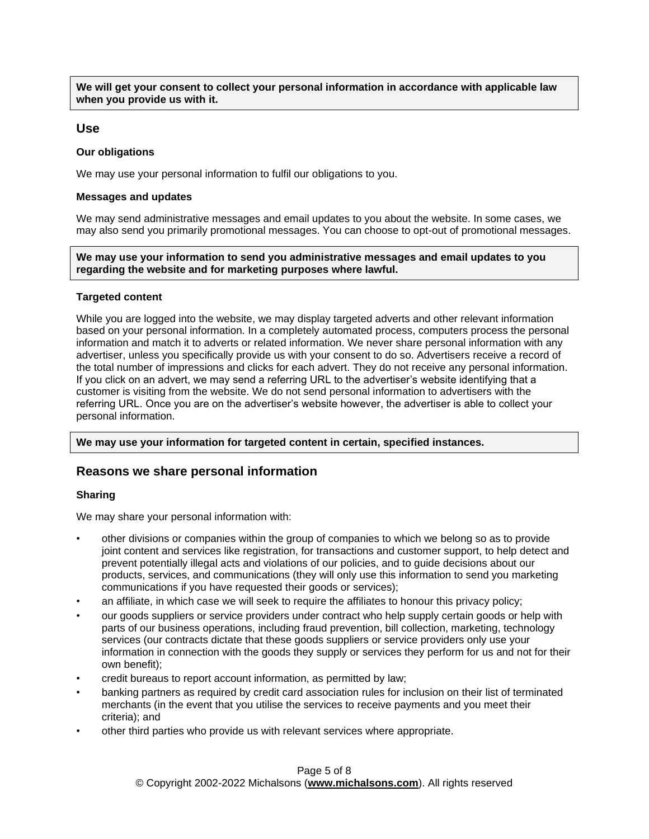**We will get your consent to collect your personal information in accordance with applicable law when you provide us with it.**

## **Use**

## **Our obligations**

We may use your personal information to fulfil our obligations to you.

#### **Messages and updates**

We may send administrative messages and email updates to you about the website. In some cases, we may also send you primarily promotional messages. You can choose to opt-out of promotional messages.

**We may use your information to send you administrative messages and email updates to you regarding the website and for marketing purposes where lawful.**

### **Targeted content**

While you are logged into the website, we may display targeted adverts and other relevant information based on your personal information. In a completely automated process, computers process the personal information and match it to adverts or related information. We never share personal information with any advertiser, unless you specifically provide us with your consent to do so. Advertisers receive a record of the total number of impressions and clicks for each advert. They do not receive any personal information. If you click on an advert, we may send a referring URL to the advertiser's website identifying that a customer is visiting from the website. We do not send personal information to advertisers with the referring URL. Once you are on the advertiser's website however, the advertiser is able to collect your personal information.

**We may use your information for targeted content in certain, specified instances.**

## **Reasons we share personal information**

## **Sharing**

We may share your personal information with:

- other divisions or companies within the group of companies to which we belong so as to provide joint content and services like registration, for transactions and customer support, to help detect and prevent potentially illegal acts and violations of our policies, and to guide decisions about our products, services, and communications (they will only use this information to send you marketing communications if you have requested their goods or services);
- an affiliate, in which case we will seek to require the affiliates to honour this privacy policy;
- our goods suppliers or service providers under contract who help supply certain goods or help with parts of our business operations, including fraud prevention, bill collection, marketing, technology services (our contracts dictate that these goods suppliers or service providers only use your information in connection with the goods they supply or services they perform for us and not for their own benefit);
- credit bureaus to report account information, as permitted by law;
- banking partners as required by credit card association rules for inclusion on their list of terminated merchants (in the event that you utilise the services to receive payments and you meet their criteria); and
- other third parties who provide us with relevant services where appropriate.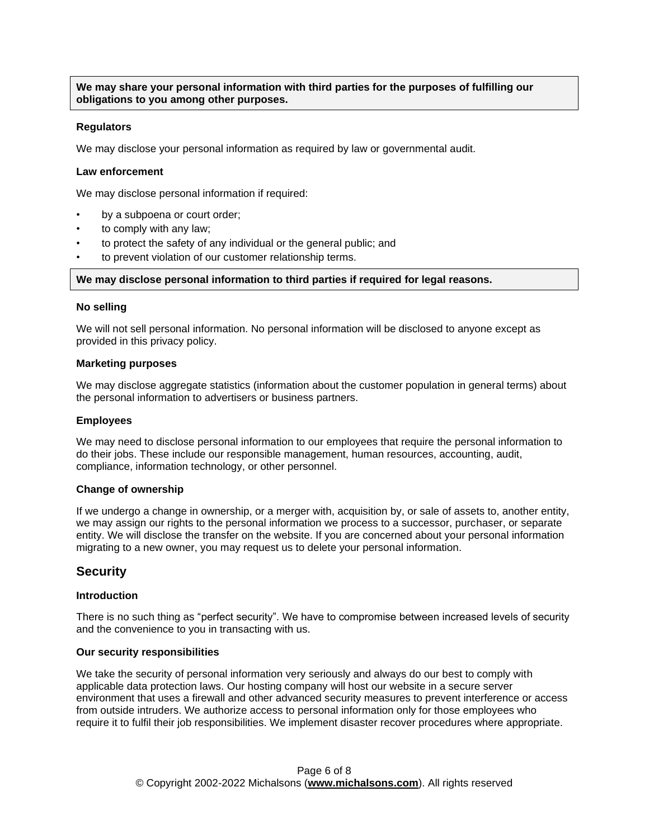**We may share your personal information with third parties for the purposes of fulfilling our obligations to you among other purposes.**

### **Regulators**

We may disclose your personal information as required by law or governmental audit.

## **Law enforcement**

We may disclose personal information if required:

- by a subpoena or court order;
- to comply with any law;
- to protect the safety of any individual or the general public; and
- to prevent violation of our customer relationship terms.

#### **We may disclose personal information to third parties if required for legal reasons.**

### **No selling**

We will not sell personal information. No personal information will be disclosed to anyone except as provided in this privacy policy.

#### **Marketing purposes**

We may disclose aggregate statistics (information about the customer population in general terms) about the personal information to advertisers or business partners.

#### **Employees**

We may need to disclose personal information to our employees that require the personal information to do their jobs. These include our responsible management, human resources, accounting, audit, compliance, information technology, or other personnel.

#### **Change of ownership**

If we undergo a change in ownership, or a merger with, acquisition by, or sale of assets to, another entity, we may assign our rights to the personal information we process to a successor, purchaser, or separate entity. We will disclose the transfer on the website. If you are concerned about your personal information migrating to a new owner, you may request us to delete your personal information.

## **Security**

## **Introduction**

There is no such thing as "perfect security". We have to compromise between increased levels of security and the convenience to you in transacting with us.

#### **Our security responsibilities**

We take the security of personal information very seriously and always do our best to comply with applicable data protection laws. Our hosting company will host our website in a secure server environment that uses a firewall and other advanced security measures to prevent interference or access from outside intruders. We authorize access to personal information only for those employees who require it to fulfil their job responsibilities. We implement disaster recover procedures where appropriate.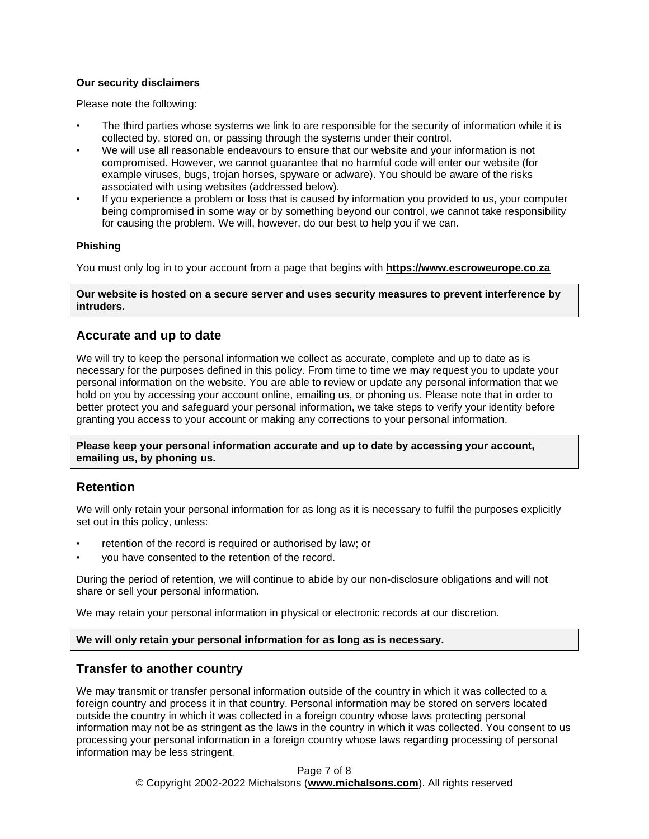## **Our security disclaimers**

Please note the following:

- The third parties whose systems we link to are responsible for the security of information while it is collected by, stored on, or passing through the systems under their control.
- We will use all reasonable endeavours to ensure that our website and your information is not compromised. However, we cannot guarantee that no harmful code will enter our website (for example viruses, bugs, trojan horses, spyware or adware). You should be aware of the risks associated with using websites (addressed below).
- If you experience a problem or loss that is caused by information you provided to us, your computer being compromised in some way or by something beyond our control, we cannot take responsibility for causing the problem. We will, however, do our best to help you if we can.

## **Phishing**

You must only log in to your account from a page that begins with **[https://www.escroweurope.co.za](https://www.escroweurope.co.za/)**

**Our website is hosted on a secure server and uses security measures to prevent interference by intruders.**

# **Accurate and up to date**

We will try to keep the personal information we collect as accurate, complete and up to date as is necessary for the purposes defined in this policy. From time to time we may request you to update your personal information on the website. You are able to review or update any personal information that we hold on you by accessing your account online, emailing us, or phoning us. Please note that in order to better protect you and safeguard your personal information, we take steps to verify your identity before granting you access to your account or making any corrections to your personal information.

**Please keep your personal information accurate and up to date by accessing your account, emailing us, by phoning us.**

# **Retention**

We will only retain your personal information for as long as it is necessary to fulfil the purposes explicitly set out in this policy, unless:

- retention of the record is required or authorised by law; or
- you have consented to the retention of the record.

During the period of retention, we will continue to abide by our non-disclosure obligations and will not share or sell your personal information.

We may retain your personal information in physical or electronic records at our discretion.

## **We will only retain your personal information for as long as is necessary.**

# **Transfer to another country**

We may transmit or transfer personal information outside of the country in which it was collected to a foreign country and process it in that country. Personal information may be stored on servers located outside the country in which it was collected in a foreign country whose laws protecting personal information may not be as stringent as the laws in the country in which it was collected. You consent to us processing your personal information in a foreign country whose laws regarding processing of personal information may be less stringent.

> Page 7 of 8 © Copyright 2002-2022 Michalsons (**[www.michalsons.com](https://www.michalsons.com/)**). All rights reserved